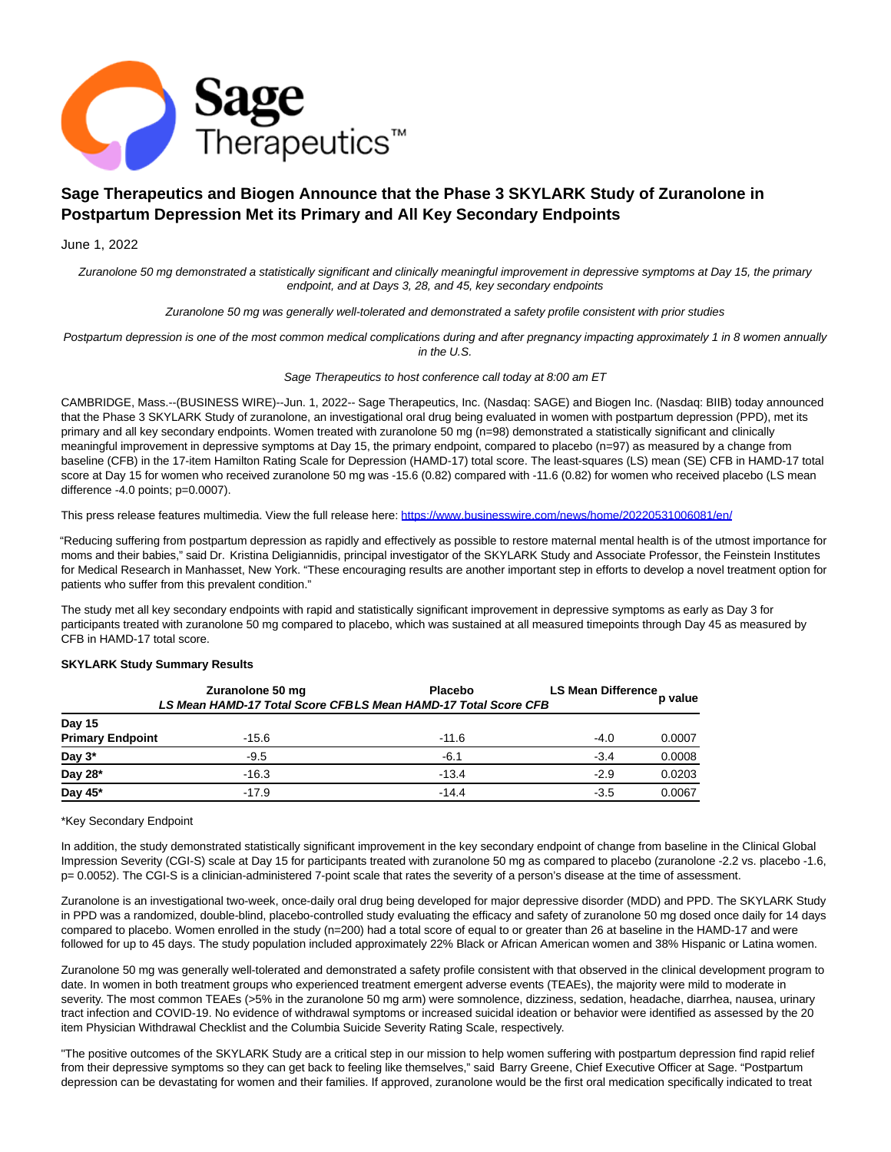

# **Sage Therapeutics and Biogen Announce that the Phase 3 SKYLARK Study of Zuranolone in Postpartum Depression Met its Primary and All Key Secondary Endpoints**

June 1, 2022

Zuranolone 50 mg demonstrated a statistically significant and clinically meaningful improvement in depressive symptoms at Day 15, the primary endpoint, and at Days 3, 28, and 45, key secondary endpoints

Zuranolone 50 mg was generally well-tolerated and demonstrated a safety profile consistent with prior studies

Postpartum depression is one of the most common medical complications during and after pregnancy impacting approximately 1 in 8 women annually in the U.S.

Sage Therapeutics to host conference call today at 8:00 am ET

CAMBRIDGE, Mass.--(BUSINESS WIRE)--Jun. 1, 2022-- Sage Therapeutics, Inc. (Nasdaq: SAGE) and Biogen Inc. (Nasdaq: BIIB) today announced that the Phase 3 SKYLARK Study of zuranolone, an investigational oral drug being evaluated in women with postpartum depression (PPD), met its primary and all key secondary endpoints. Women treated with zuranolone 50 mg (n=98) demonstrated a statistically significant and clinically meaningful improvement in depressive symptoms at Day 15, the primary endpoint, compared to placebo (n=97) as measured by a change from baseline (CFB) in the 17-item Hamilton Rating Scale for Depression (HAMD-17) total score. The least-squares (LS) mean (SE) CFB in HAMD-17 total score at Day 15 for women who received zuranolone 50 mg was -15.6 (0.82) compared with -11.6 (0.82) for women who received placebo (LS mean difference -4.0 points; p=0.0007).

This press release features multimedia. View the full release here:<https://www.businesswire.com/news/home/20220531006081/en/>

"Reducing suffering from postpartum depression as rapidly and effectively as possible to restore maternal mental health is of the utmost importance for moms and their babies," said Dr. Kristina Deligiannidis, principal investigator of the SKYLARK Study and Associate Professor, the Feinstein Institutes for Medical Research in Manhasset, New York. "These encouraging results are another important step in efforts to develop a novel treatment option for patients who suffer from this prevalent condition."

The study met all key secondary endpoints with rapid and statistically significant improvement in depressive symptoms as early as Day 3 for participants treated with zuranolone 50 mg compared to placebo, which was sustained at all measured timepoints through Day 45 as measured by CFB in HAMD-17 total score.

## **SKYLARK Study Summary Results**

|                         | Zuranolone 50 mg<br>LS Mean HAMD-17 Total Score CFBLS Mean HAMD-17 Total Score CFB | <b>Placebo</b> | <b>LS Mean Difference</b> | <b>p</b> value |
|-------------------------|------------------------------------------------------------------------------------|----------------|---------------------------|----------------|
| Day 15                  |                                                                                    |                |                           |                |
| <b>Primary Endpoint</b> | $-15.6$                                                                            | $-11.6$        | $-4.0$                    | 0.0007         |
| Day 3*                  | $-9.5$                                                                             | $-6.1$         | $-3.4$                    | 0.0008         |
| Day 28*                 | $-16.3$                                                                            | $-13.4$        | $-2.9$                    | 0.0203         |
| Day 45*                 | $-17.9$                                                                            | $-14.4$        | $-3.5$                    | 0.0067         |

\*Key Secondary Endpoint

In addition, the study demonstrated statistically significant improvement in the key secondary endpoint of change from baseline in the Clinical Global Impression Severity (CGI-S) scale at Day 15 for participants treated with zuranolone 50 mg as compared to placebo (zuranolone -2.2 vs. placebo -1.6, p= 0.0052). The CGI-S is a clinician-administered 7-point scale that rates the severity of a person's disease at the time of assessment.

Zuranolone is an investigational two-week, once-daily oral drug being developed for major depressive disorder (MDD) and PPD. The SKYLARK Study in PPD was a randomized, double-blind, placebo-controlled study evaluating the efficacy and safety of zuranolone 50 mg dosed once daily for 14 days compared to placebo. Women enrolled in the study (n=200) had a total score of equal to or greater than 26 at baseline in the HAMD-17 and were followed for up to 45 days. The study population included approximately 22% Black or African American women and 38% Hispanic or Latina women.

Zuranolone 50 mg was generally well-tolerated and demonstrated a safety profile consistent with that observed in the clinical development program to date. In women in both treatment groups who experienced treatment emergent adverse events (TEAEs), the majority were mild to moderate in severity. The most common TEAEs (>5% in the zuranolone 50 mg arm) were somnolence, dizziness, sedation, headache, diarrhea, nausea, urinary tract infection and COVID-19. No evidence of withdrawal symptoms or increased suicidal ideation or behavior were identified as assessed by the 20 item Physician Withdrawal Checklist and the Columbia Suicide Severity Rating Scale, respectively.

"The positive outcomes of the SKYLARK Study are a critical step in our mission to help women suffering with postpartum depression find rapid relief from their depressive symptoms so they can get back to feeling like themselves," said Barry Greene, Chief Executive Officer at Sage. "Postpartum depression can be devastating for women and their families. If approved, zuranolone would be the first oral medication specifically indicated to treat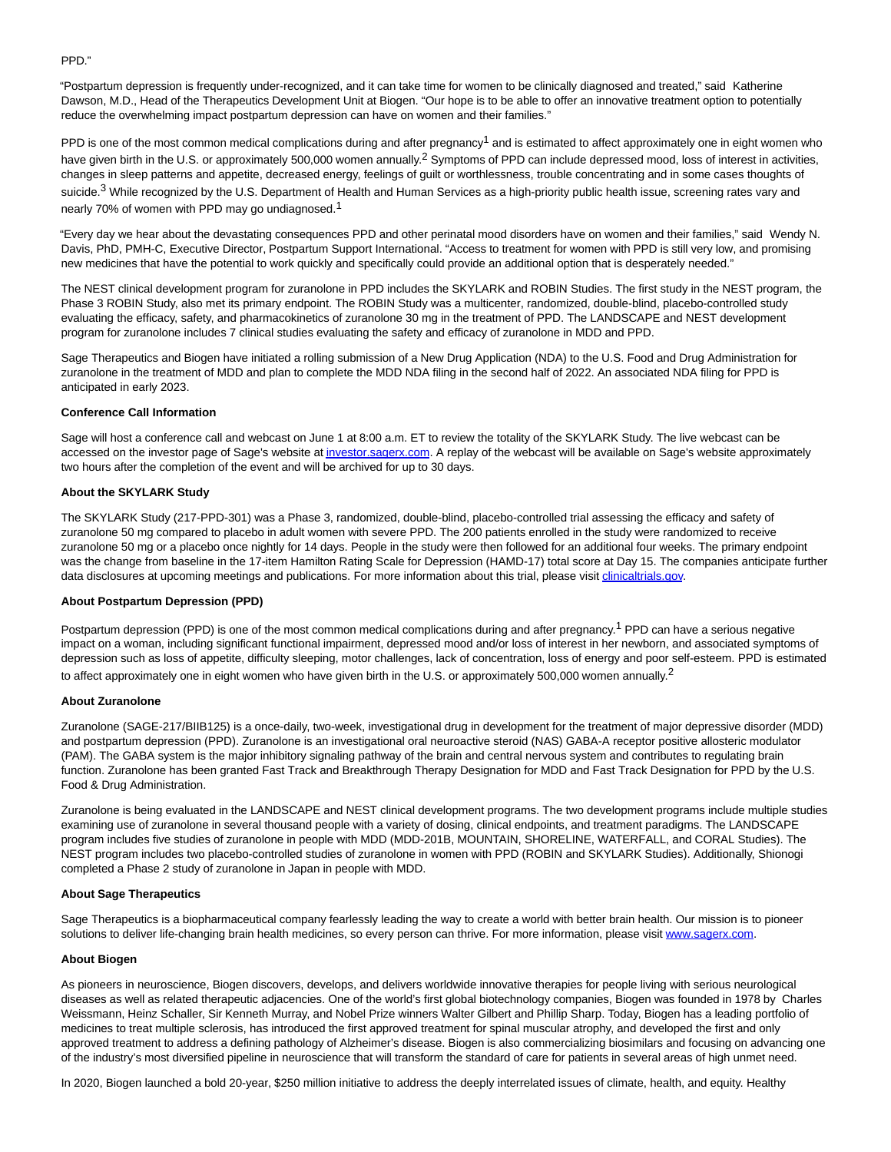## PPD."

"Postpartum depression is frequently under-recognized, and it can take time for women to be clinically diagnosed and treated," said Katherine Dawson, M.D., Head of the Therapeutics Development Unit at Biogen. "Our hope is to be able to offer an innovative treatment option to potentially reduce the overwhelming impact postpartum depression can have on women and their families."

PPD is one of the most common medical complications during and after pregnancy<sup>1</sup> and is estimated to affect approximately one in eight women who have given birth in the U.S. or approximately 500,000 women annually.<sup>2</sup> Symptoms of PPD can include depressed mood, loss of interest in activities, changes in sleep patterns and appetite, decreased energy, feelings of guilt or worthlessness, trouble concentrating and in some cases thoughts of suicide.<sup>3</sup> While recognized by the U.S. Department of Health and Human Services as a high-priority public health issue, screening rates vary and nearly 70% of women with PPD may go undiagnosed.<sup>1</sup>

"Every day we hear about the devastating consequences PPD and other perinatal mood disorders have on women and their families," said Wendy N. Davis, PhD, PMH-C, Executive Director, Postpartum Support International. "Access to treatment for women with PPD is still very low, and promising new medicines that have the potential to work quickly and specifically could provide an additional option that is desperately needed."

The NEST clinical development program for zuranolone in PPD includes the SKYLARK and ROBIN Studies. The first study in the NEST program, the Phase 3 ROBIN Study, also met its primary endpoint. The ROBIN Study was a multicenter, randomized, double-blind, placebo-controlled study evaluating the efficacy, safety, and pharmacokinetics of zuranolone 30 mg in the treatment of PPD. The LANDSCAPE and NEST development program for zuranolone includes 7 clinical studies evaluating the safety and efficacy of zuranolone in MDD and PPD.

Sage Therapeutics and Biogen have initiated a rolling submission of a New Drug Application (NDA) to the U.S. Food and Drug Administration for zuranolone in the treatment of MDD and plan to complete the MDD NDA filing in the second half of 2022. An associated NDA filing for PPD is anticipated in early 2023.

## **Conference Call Information**

Sage will host a conference call and webcast on June 1 at 8:00 a.m. ET to review the totality of the SKYLARK Study. The live webcast can be accessed on the investor page of Sage's website at investor sagerx.com. A replay of the webcast will be available on Sage's website approximately two hours after the completion of the event and will be archived for up to 30 days.

## **About the SKYLARK Study**

The SKYLARK Study (217-PPD-301) was a Phase 3, randomized, double-blind, placebo-controlled trial assessing the efficacy and safety of zuranolone 50 mg compared to placebo in adult women with severe PPD. The 200 patients enrolled in the study were randomized to receive zuranolone 50 mg or a placebo once nightly for 14 days. People in the study were then followed for an additional four weeks. The primary endpoint was the change from baseline in the 17-item Hamilton Rating Scale for Depression (HAMD-17) total score at Day 15. The companies anticipate further data disclosures at upcoming meetings and publications. For more information about this trial, please visit [clinicaltrials.gov.](https://cts.businesswire.com/ct/CT?id=smartlink&url=https%3A%2F%2Fclinicaltrials.gov%2Fct2%2Fshow%2FNCT04442503%3Fterm%3D217-PPD-301%26cond%3Dpostpartum%2Bdepression%26draw%3D2%26rank%3D1&esheet=52735971&newsitemid=20220531006081&lan=en-US&anchor=clinicaltrials.gov&index=1&md5=fd1b5cae58792b2ecc9f2fbf13dc4a8d)

### **About Postpartum Depression (PPD)**

Postpartum depression (PPD) is one of the most common medical complications during and after pregnancy.<sup>1</sup> PPD can have a serious negative impact on a woman, including significant functional impairment, depressed mood and/or loss of interest in her newborn, and associated symptoms of depression such as loss of appetite, difficulty sleeping, motor challenges, lack of concentration, loss of energy and poor self-esteem. PPD is estimated to affect approximately one in eight women who have given birth in the U.S. or approximately 500,000 women annually.<sup>2</sup>

## **About Zuranolone**

Zuranolone (SAGE-217/BIIB125) is a once-daily, two-week, investigational drug in development for the treatment of major depressive disorder (MDD) and postpartum depression (PPD). Zuranolone is an investigational oral neuroactive steroid (NAS) GABA-A receptor positive allosteric modulator (PAM). The GABA system is the major inhibitory signaling pathway of the brain and central nervous system and contributes to regulating brain function. Zuranolone has been granted Fast Track and Breakthrough Therapy Designation for MDD and Fast Track Designation for PPD by the U.S. Food & Drug Administration.

Zuranolone is being evaluated in the LANDSCAPE and NEST clinical development programs. The two development programs include multiple studies examining use of zuranolone in several thousand people with a variety of dosing, clinical endpoints, and treatment paradigms. The LANDSCAPE program includes five studies of zuranolone in people with MDD (MDD-201B, MOUNTAIN, SHORELINE, WATERFALL, and CORAL Studies). The NEST program includes two placebo-controlled studies of zuranolone in women with PPD (ROBIN and SKYLARK Studies). Additionally, Shionogi completed a Phase 2 study of zuranolone in Japan in people with MDD.

### **About Sage Therapeutics**

Sage Therapeutics is a biopharmaceutical company fearlessly leading the way to create a world with better brain health. Our mission is to pioneer solutions to deliver life-changing brain health medicines, so every person can thrive. For more information, please visit [www.sagerx.com.](https://cts.businesswire.com/ct/CT?id=smartlink&url=http%3A%2F%2Fwww.sagerx.com&esheet=52735971&newsitemid=20220531006081&lan=en-US&anchor=www.sagerx.com&index=2&md5=ae8975c9557f1cf58edbb3ecd646088f)

#### **About Biogen**

As pioneers in neuroscience, Biogen discovers, develops, and delivers worldwide innovative therapies for people living with serious neurological diseases as well as related therapeutic adjacencies. One of the world's first global biotechnology companies, Biogen was founded in 1978 by Charles Weissmann, Heinz Schaller, Sir Kenneth Murray, and Nobel Prize winners Walter Gilbert and Phillip Sharp. Today, Biogen has a leading portfolio of medicines to treat multiple sclerosis, has introduced the first approved treatment for spinal muscular atrophy, and developed the first and only approved treatment to address a defining pathology of Alzheimer's disease. Biogen is also commercializing biosimilars and focusing on advancing one of the industry's most diversified pipeline in neuroscience that will transform the standard of care for patients in several areas of high unmet need.

In 2020, Biogen launched a bold 20-year, \$250 million initiative to address the deeply interrelated issues of climate, health, and equity. Healthy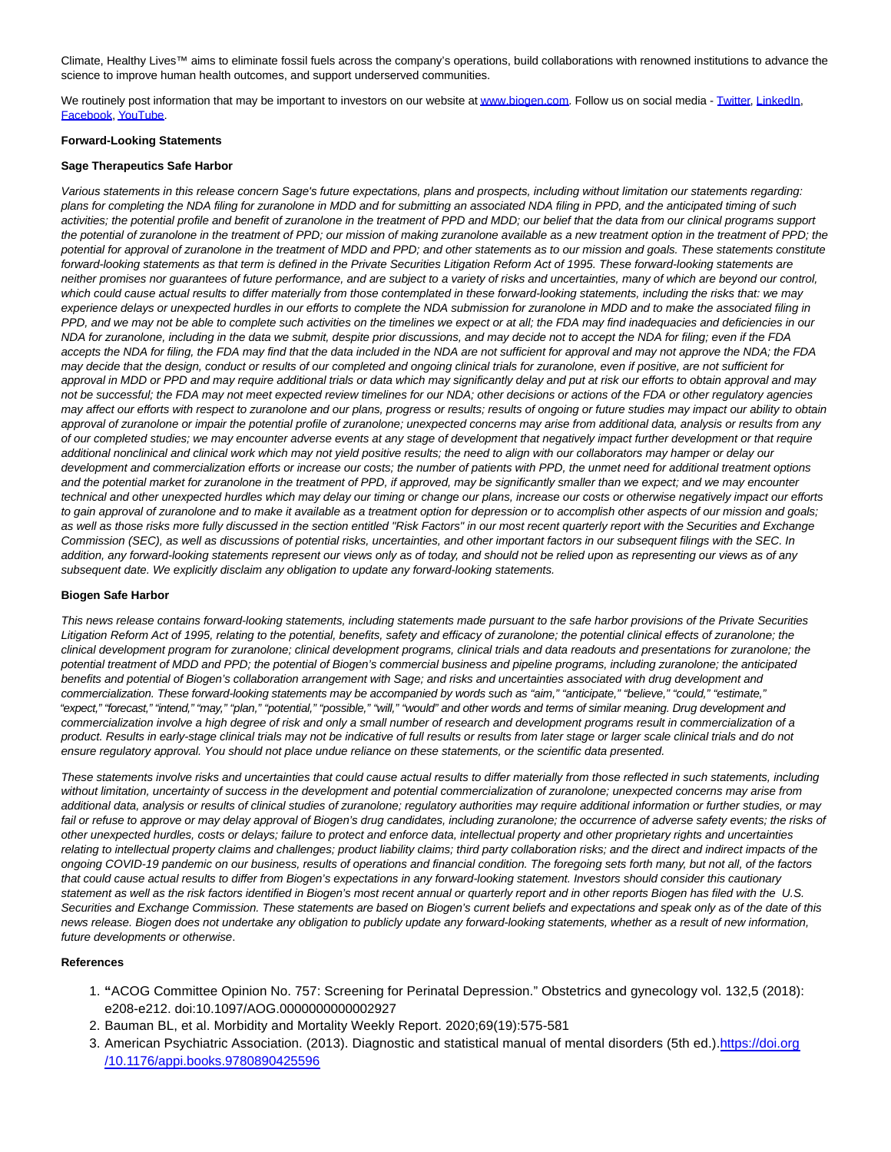Climate, Healthy Lives™ aims to eliminate fossil fuels across the company's operations, build collaborations with renowned institutions to advance the science to improve human health outcomes, and support underserved communities.

We routinely post information that may be important to investors on our website a[t www.biogen.com.](https://cts.businesswire.com/ct/CT?id=smartlink&url=http%3A%2F%2Fwww.biogen.com&esheet=52735971&newsitemid=20220531006081&lan=en-US&anchor=www.biogen.com&index=3&md5=db0c5cb2c0a28474f0bd56efe551a306) Follow us on social media - [Twitter,](https://cts.businesswire.com/ct/CT?id=smartlink&url=http%3A%2F%2Fwww.twitter.com%2Fbiogen&esheet=52735971&newsitemid=20220531006081&lan=en-US&anchor=Twitter&index=4&md5=f27b0d619c7fa21a0ae371abbc721628) [LinkedIn,](https://cts.businesswire.com/ct/CT?id=smartlink&url=http%3A%2F%2Fwww.linkedin.com%2Fcompany%2Fbiogen-&esheet=52735971&newsitemid=20220531006081&lan=en-US&anchor=LinkedIn&index=5&md5=4fa24982109a5a860d3ae185942c26e6) [Facebook,](https://cts.businesswire.com/ct/CT?id=smartlink&url=http%3A%2F%2Fwww.facebook.com%2FBiogen%2F&esheet=52735971&newsitemid=20220531006081&lan=en-US&anchor=Facebook&index=6&md5=4cc1655efdecf63295502bc8d87209e2) [YouTube.](https://cts.businesswire.com/ct/CT?id=smartlink&url=http%3A%2F%2Fwww.youtube.com%2Fc%2Fbiogen&esheet=52735971&newsitemid=20220531006081&lan=en-US&anchor=YouTube&index=7&md5=ac36d2e26fc3505782454590ad7006de)

## **Forward-Looking Statements**

# **Sage Therapeutics Safe Harbor**

Various statements in this release concern Sage's future expectations, plans and prospects, including without limitation our statements regarding: plans for completing the NDA filing for zuranolone in MDD and for submitting an associated NDA filing in PPD, and the anticipated timing of such activities; the potential profile and benefit of zuranolone in the treatment of PPD and MDD; our belief that the data from our clinical programs support the potential of zuranolone in the treatment of PPD; our mission of making zuranolone available as a new treatment option in the treatment of PPD; the potential for approval of zuranolone in the treatment of MDD and PPD; and other statements as to our mission and goals. These statements constitute forward-looking statements as that term is defined in the Private Securities Litigation Reform Act of 1995. These forward-looking statements are neither promises nor guarantees of future performance, and are subject to a variety of risks and uncertainties, many of which are beyond our control, which could cause actual results to differ materially from those contemplated in these forward-looking statements, including the risks that: we may experience delays or unexpected hurdles in our efforts to complete the NDA submission for zuranolone in MDD and to make the associated filing in PPD, and we may not be able to complete such activities on the timelines we expect or at all; the FDA may find inadequacies and deficiencies in our NDA for zuranolone, including in the data we submit, despite prior discussions, and may decide not to accept the NDA for filing; even if the FDA accepts the NDA for filing, the FDA may find that the data included in the NDA are not sufficient for approval and may not approve the NDA; the FDA may decide that the design, conduct or results of our completed and ongoing clinical trials for zuranolone, even if positive, are not sufficient for approval in MDD or PPD and may require additional trials or data which may significantly delay and put at risk our efforts to obtain approval and may not be successful; the FDA may not meet expected review timelines for our NDA; other decisions or actions of the FDA or other regulatory agencies may affect our efforts with respect to zuranolone and our plans, progress or results; results of ongoing or future studies may impact our ability to obtain approval of zuranolone or impair the potential profile of zuranolone; unexpected concerns may arise from additional data, analysis or results from any of our completed studies; we may encounter adverse events at any stage of development that negatively impact further development or that require additional nonclinical and clinical work which may not yield positive results; the need to align with our collaborators may hamper or delay our development and commercialization efforts or increase our costs; the number of patients with PPD, the unmet need for additional treatment options and the potential market for zuranolone in the treatment of PPD, if approved, may be significantly smaller than we expect; and we may encounter technical and other unexpected hurdles which may delay our timing or change our plans, increase our costs or otherwise negatively impact our efforts to gain approval of zuranolone and to make it available as a treatment option for depression or to accomplish other aspects of our mission and goals; as well as those risks more fully discussed in the section entitled "Risk Factors" in our most recent quarterly report with the Securities and Exchange Commission (SEC), as well as discussions of potential risks, uncertainties, and other important factors in our subsequent filings with the SEC. In addition, any forward-looking statements represent our views only as of today, and should not be relied upon as representing our views as of any subsequent date. We explicitly disclaim any obligation to update any forward-looking statements.

#### **Biogen Safe Harbor**

This news release contains forward-looking statements, including statements made pursuant to the safe harbor provisions of the Private Securities Litigation Reform Act of 1995, relating to the potential, benefits, safety and efficacy of zuranolone; the potential clinical effects of zuranolone; the clinical development program for zuranolone; clinical development programs, clinical trials and data readouts and presentations for zuranolone; the potential treatment of MDD and PPD; the potential of Biogen's commercial business and pipeline programs, including zuranolone; the anticipated benefits and potential of Biogen's collaboration arrangement with Sage; and risks and uncertainties associated with drug development and commercialization. These forward-looking statements may be accompanied by words such as "aim," "anticipate," "believe," "could," "estimate," "expect," "forecast," "intend," "may," "plan," "potential," "possible," "will," "would" and other words and terms of similar meaning. Drug development and commercialization involve a high degree of risk and only a small number of research and development programs result in commercialization of a product. Results in early-stage clinical trials may not be indicative of full results or results from later stage or larger scale clinical trials and do not ensure regulatory approval. You should not place undue reliance on these statements, or the scientific data presented.

These statements involve risks and uncertainties that could cause actual results to differ materially from those reflected in such statements, including without limitation, uncertainty of success in the development and potential commercialization of zuranolone; unexpected concerns may arise from additional data, analysis or results of clinical studies of zuranolone; regulatory authorities may require additional information or further studies, or may fail or refuse to approve or may delay approval of Biogen's drug candidates, including zuranolone; the occurrence of adverse safety events; the risks of other unexpected hurdles, costs or delays; failure to protect and enforce data, intellectual property and other proprietary rights and uncertainties relating to intellectual property claims and challenges; product liability claims; third party collaboration risks; and the direct and indirect impacts of the ongoing COVID-19 pandemic on our business, results of operations and financial condition. The foregoing sets forth many, but not all, of the factors that could cause actual results to differ from Biogen's expectations in any forward-looking statement. Investors should consider this cautionary statement as well as the risk factors identified in Biogen's most recent annual or quarterly report and in other reports Biogen has filed with the U.S. Securities and Exchange Commission. These statements are based on Biogen's current beliefs and expectations and speak only as of the date of this news release. Biogen does not undertake any obligation to publicly update any forward-looking statements, whether as a result of new information, future developments or otherwise.

## **References**

- **"**ACOG Committee Opinion No. 757: Screening for Perinatal Depression." Obstetrics and gynecology vol. 132,5 (2018): 1. e208-e212. doi:10.1097/AOG.0000000000002927
- 2. Bauman BL, et al. Morbidity and Mortality Weekly Report. 2020;69(19):575-581
- 3. American Psychiatric Association. (2013). Diagnostic and statistical manual of mental disorders (5th ed.)[.https://doi.org](https://cts.businesswire.com/ct/CT?id=smartlink&url=https%3A%2F%2Fdoi.org%2F10.1176%2Fappi.books.9780890425596&esheet=52735971&newsitemid=20220531006081&lan=en-US&anchor=https%3A%2F%2Fdoi.org%2F10.1176%2Fappi.books.9780890425596&index=8&md5=96079028698e22b8199108c20ce59fcf) /10.1176/appi.books.9780890425596